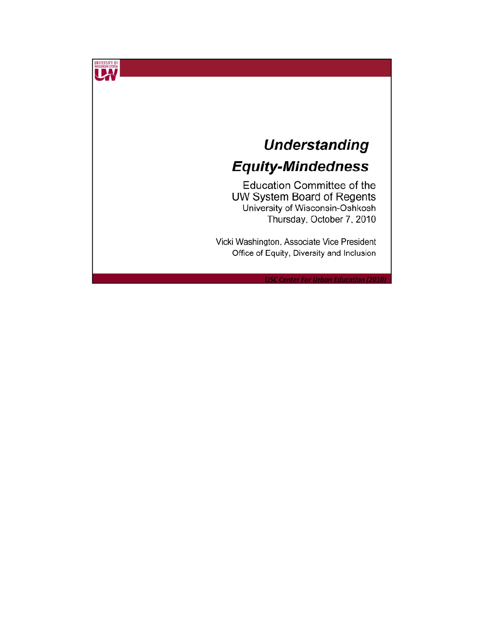## **Understanding Equity-Mindedness**

UNIVERSITY OF

**Education Committee of the** UW System Board of Regents University of Wisconsin-Oshkosh Thursday, October 7, 2010

Vicki Washington, Associate Vice President Office of Equity, Diversity and Inclusion

**USC Center For Urban Education (2010**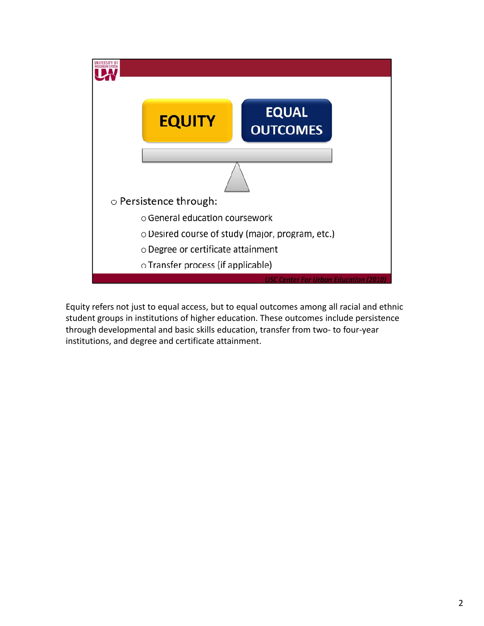

Equity refers not just to equal access, but to equal outcomes among all racial and ethnic student groups in institutions of higher education. These outcomes include persistence through developmental and basic skills education, transfer from two‐ to four‐year institutions, and degree and certificate attainment.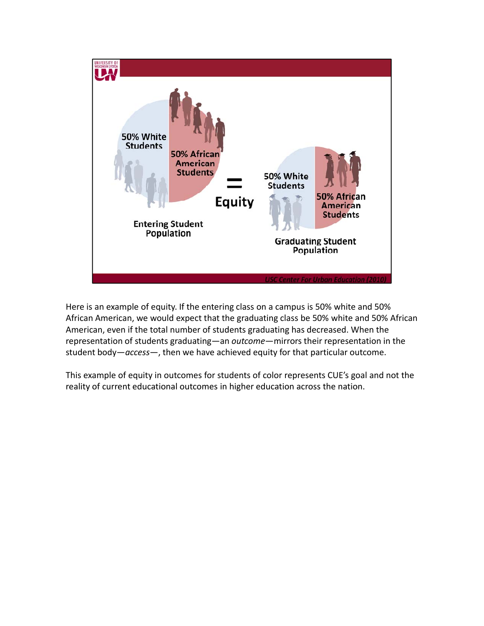

Here is an example of equity. If the entering class on a campus is 50% white and 50% African American, we would expect that the graduating class be 50% white and 50% African American, even if the total number of students graduating has decreased. When the representation of students graduating—an *outcome*—mirrors their representation in the student body—*access*—, then we have achieved equity for that particular outcome.

This example of equity in outcomes for students of color represents CUE's goal and not the reality of current educational outcomes in higher education across the nation.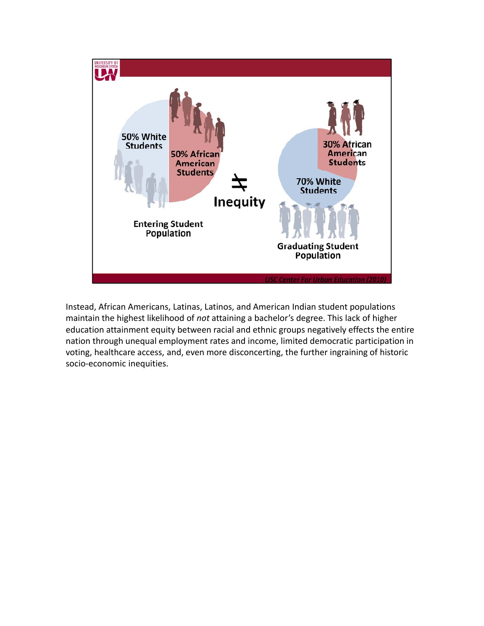

Instead, African Americans, Latinas, Latinos, and American Indian student populations maintain the highest likelihood of *not* attaining a bachelor's degree. This lack of higher education attainment equity between racial and ethnic groups negatively effects the entire nation through unequal employment rates and income, limited democratic participation in voting, healthcare access, and, even more disconcerting, the further ingraining of historic socio‐economic inequities.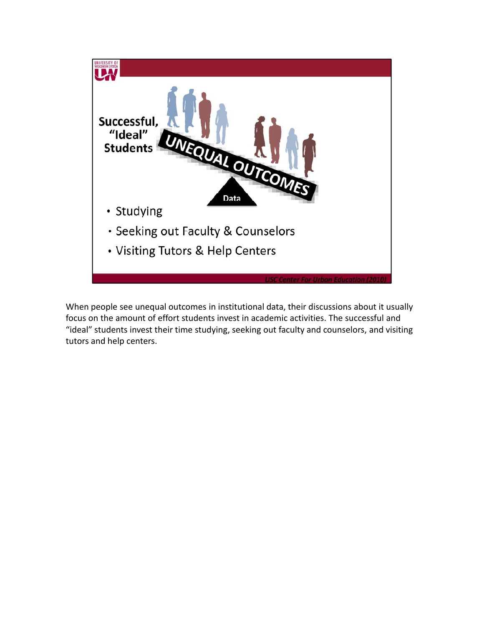

When people see unequal outcomes in institutional data, their discussions about it usually focus on the amount of effort students invest in academic activities. The successful and "ideal" students invest their time studying, seeking out faculty and counselors, and visiting tutors and help centers.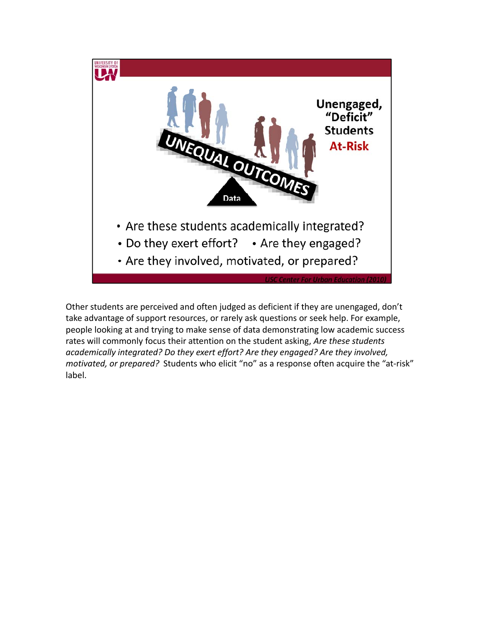

Other students are perceived and often judged as deficient if they are unengaged, don't take advantage of support resources, or rarely ask questions or seek help. For example, people looking at and trying to make sense of data demonstrating low academic success rates will commonly focus their attention on the student asking, *Are these students academically integrated? Do they exert effort? Are they engaged? Are they involved, motivated, or prepared?* Students who elicit "no" as a response often acquire the "at-risk" label.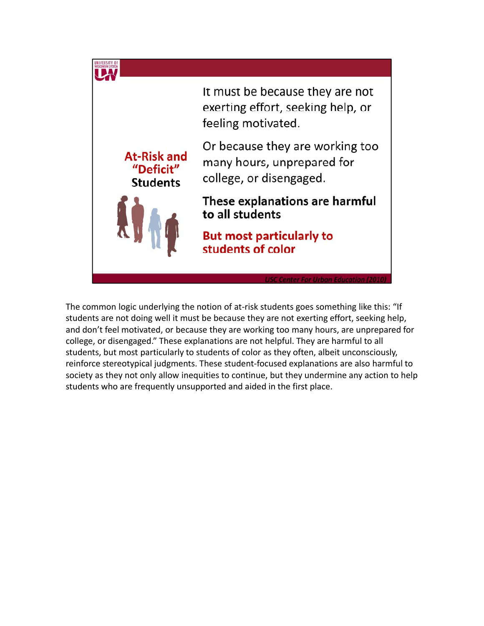

The common logic underlying the notion of at-risk students goes something like this: "If students are not doing well it must be because they are not exerting effort, seeking help, and don't feel motivated, or because they are working too many hours, are unprepared for college, or disengaged." These explanations are not helpful. They are harmful to all students, but most particularly to students of color as they often, albeit unconsciously, reinforce stereotypical judgments. These student‐focused explanations are also harmful to society as they not only allow inequities to continue, but they undermine any action to help students who are frequently unsupported and aided in the first place.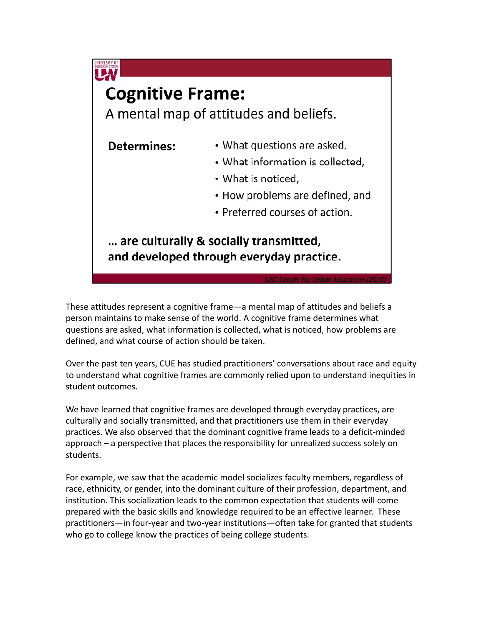

These attitudes represent a cognitive frame—a mental map of attitudes and beliefs a person maintains to make sense of the world. A cognitive frame determines what questions are asked, what information is collected, what is noticed, how problems are defined, and what course of action should be taken.

Over the past ten years, CUE has studied practitioners' conversations about race and equity to understand what cognitive frames are commonly relied upon to understand inequities in student outcomes.

We have learned that cognitive frames are developed through everyday practices, are culturally and socially transmitted, and that practitioners use them in their everyday practices. We also observed that the dominant cognitive frame leads to a deficit‐minded approach – a perspective that places the responsibility for unrealized success solely on students.

For example, we saw that the academic model socializes faculty members, regardless of race, ethnicity, or gender, into the dominant culture of their profession, department, and institution. This socialization leads to the common expectation that students will come prepared with the basic skills and knowledge required to be an effective learner. These practitioners—in four‐year and two‐year institutions—often take for granted that students who go to college know the practices of being college students.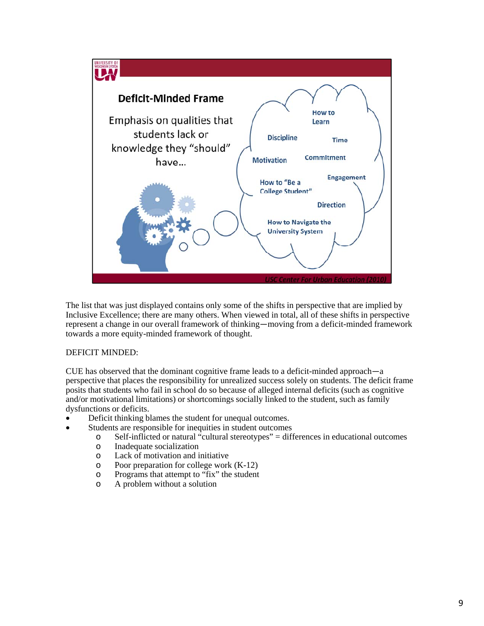

The list that was just displayed contains only some of the shifts in perspective that are implied by Inclusive Excellence; there are many others. When viewed in total, all of these shifts in perspective represent a change in our overall framework of thinking—moving from a deficit-minded framework towards a more equity-minded framework of thought.

## DEFICIT MINDED:

CUE has observed that the dominant cognitive frame leads to a deficit-minded approach—a perspective that places the responsibility for unrealized success solely on students. The deficit frame posits that students who fail in school do so because of alleged internal deficits (such as cognitive and/or motivational limitations) or shortcomings socially linked to the student, such as family dysfunctions or deficits.

- Deficit thinking blames the student for unequal outcomes.
	- Students are responsible for inequities in student outcomes
		- o Self-inflicted or natural "cultural stereotypes" = differences in educational outcomes
		- o Inadequate socialization
		- o Lack of motivation and initiative
		- $\circ$  Poor preparation for college work (K-12)
		- o Programs that attempt to "fix" the student
		- o A problem without a solution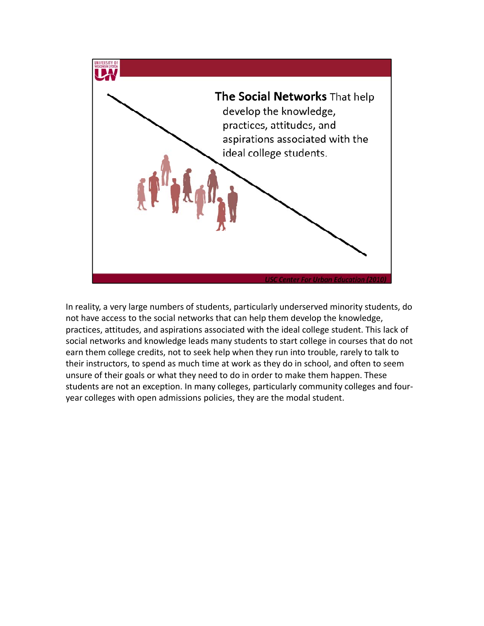

In reality, a very large numbers of students, particularly underserved minority students, do not have access to the social networks that can help them develop the knowledge, practices, attitudes, and aspirations associated with the ideal college student. This lack of social networks and knowledge leads many students to start college in courses that do not earn them college credits, not to seek help when they run into trouble, rarely to talk to their instructors, to spend as much time at work as they do in school, and often to seem unsure of their goals or what they need to do in order to make them happen. These students are not an exception. In many colleges, particularly community colleges and fouryear colleges with open admissions policies, they are the modal student.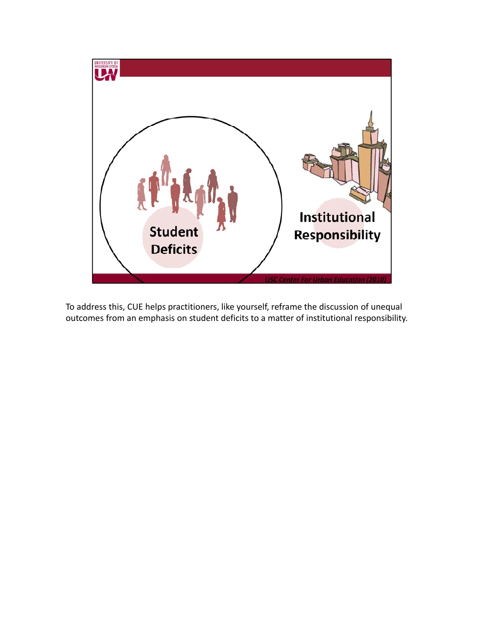

To address this, CUE helps practitioners, like yourself, reframe the discussion of unequal outcomes from an emphasis on student deficits to a matter of institutional responsibility.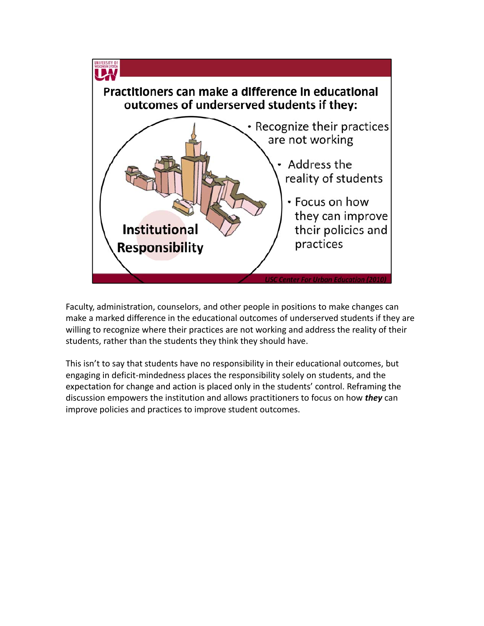

Faculty, administration, counselors, and other people in positions to make changes can make a marked difference in the educational outcomes of underserved students if they are willing to recognize where their practices are not working and address the reality of their students, rather than the students they think they should have.

This isn't to say that students have no responsibility in their educational outcomes, but engaging in deficit‐mindedness places the responsibility solely on students, and the expectation for change and action is placed only in the students' control. Reframing the discussion empowers the institution and allows practitioners to focus on how *they* can improve policies and practices to improve student outcomes.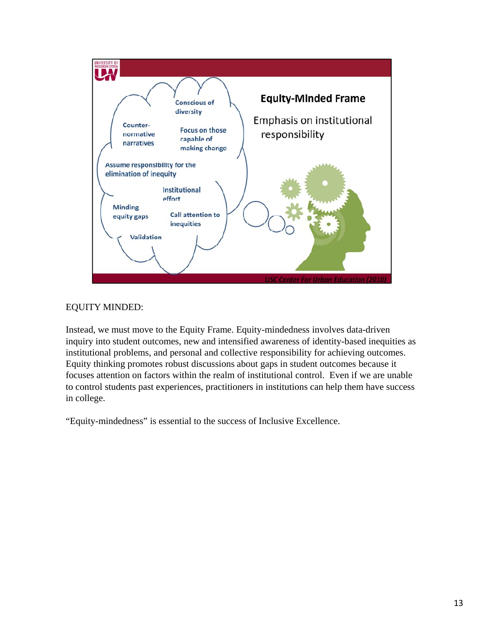

## EQUITY MINDED:

Instead, we must move to the Equity Frame. Equity-mindedness involves data-driven inquiry into student outcomes, new and intensified awareness of identity-based inequities as institutional problems, and personal and collective responsibility for achieving outcomes. Equity thinking promotes robust discussions about gaps in student outcomes because it focuses attention on factors within the realm of institutional control. Even if we are unable to control students past experiences, practitioners in institutions can help them have success in college.

"Equity-mindedness" is essential to the success of Inclusive Excellence.